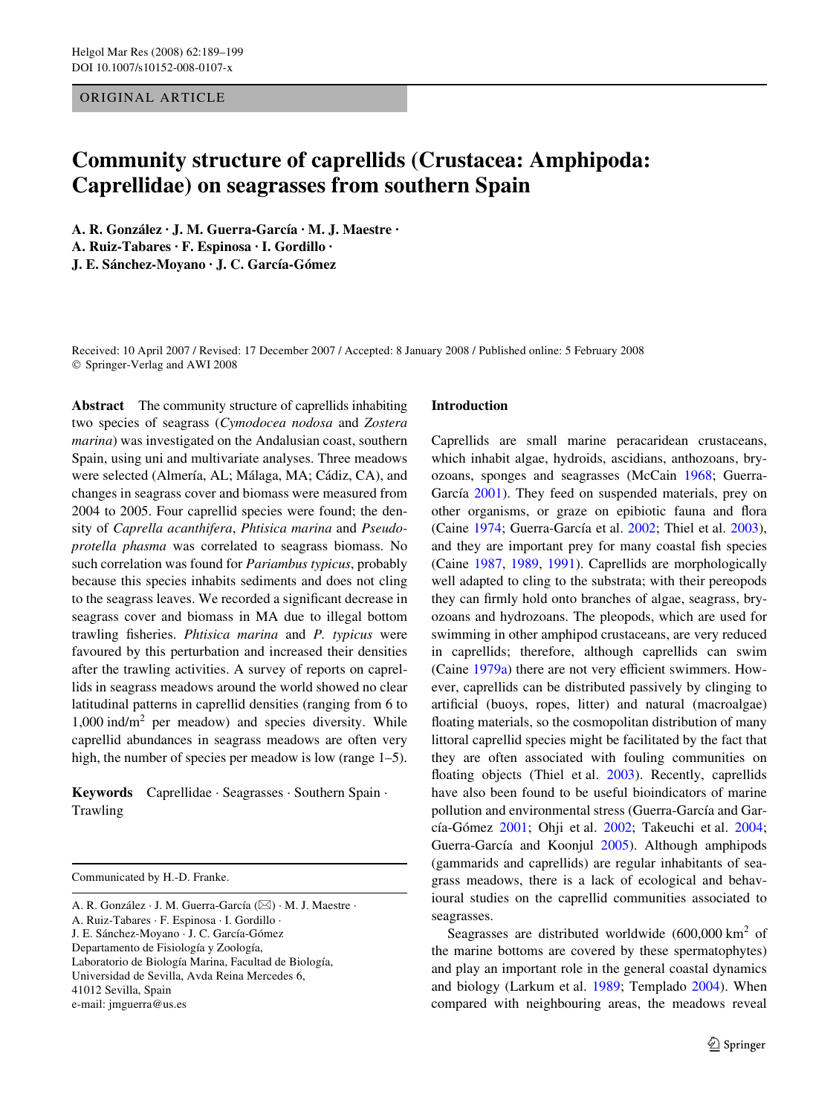ORIGINAL ARTICLE

# **Community structure of caprellids (Crustacea: Amphipoda: Caprellidae) on seagrasses from southern Spain**

**A. R. González · J. M. Guerra-García · M. J. Maestre · A. Ruiz-Tabares · F. Espinosa · I. Gordillo · J. E. Sánchez-Moyano · J. C. García-Gómez** 

Received: 10 April 2007 / Revised: 17 December 2007 / Accepted: 8 January 2008 / Published online: 5 February 2008 © Springer-Verlag and AWI 2008

**Abstract** The community structure of caprellids inhabiting two species of seagrass (*Cymodocea nodosa* and *Zostera marina*) was investigated on the Andalusian coast, southern Spain, using uni and multivariate analyses. Three meadows were selected (Almería, AL; Málaga, MA; Cádiz, CA), and changes in seagrass cover and biomass were measured from 2004 to 2005. Four caprellid species were found; the density of *Caprella acanthifera*, *Phtisica marina* and *Pseudoprotella phasma* was correlated to seagrass biomass. No such correlation was found for *Pariambus typicus*, probably because this species inhabits sediments and does not cling to the seagrass leaves. We recorded a significant decrease in seagrass cover and biomass in MA due to illegal bottom trawling fisheries. *Phtisica marina* and *P. typicus* were favoured by this perturbation and increased their densities after the trawling activities. A survey of reports on caprellids in seagrass meadows around the world showed no clear latitudinal patterns in caprellid densities (ranging from 6 to 1,000 ind/m<sup>2</sup> per meadow) and species diversity. While caprellid abundances in seagrass meadows are often very high, the number of species per meadow is low (range 1–5).

**Keywords** Caprellidae · Seagrasses · Southern Spain · Trawling

Communicated by H.-D. Franke.

# **Introduction**

Caprellids are small marine peracaridean crustaceans, which inhabit algae, hydroids, ascidians, anthozoans, bryozoans, sponges and seagrasses (McCain [1968](#page-9-0); Guerra-García [2001\)](#page-9-1). They feed on suspended materials, prey on other organisms, or graze on epibiotic fauna and flora (Caine [1974](#page-9-2); Guerra-García et al. [2002](#page-9-3); Thiel et al. [2003](#page-10-0)), and they are important prey for many coastal fish species (Caine [1987](#page-9-4), [1989](#page-9-5), [1991](#page-9-6)). Caprellids are morphologically well adapted to cling to the substrata; with their pereopods they can firmly hold onto branches of algae, seagrass, bryozoans and hydrozoans. The pleopods, which are used for swimming in other amphipod crustaceans, are very reduced in caprellids; therefore, although caprellids can swim (Caine  $1979a$ ) there are not very efficient swimmers. However, caprellids can be distributed passively by clinging to artificial (buoys, ropes, litter) and natural (macroalgae) floating materials, so the cosmopolitan distribution of many littoral caprellid species might be facilitated by the fact that they are often associated with fouling communities on floating objects (Thiel et al. [2003\)](#page-10-0). Recently, caprellids have also been found to be useful bioindicators of marine pollution and environmental stress (Guerra-García and García-Gómez [2001;](#page-9-8) Ohji et al. [2002](#page-9-9); Takeuchi et al. [2004;](#page-10-1) Guerra-García and Koonjul [2005\)](#page-9-10). Although amphipods (gammarids and caprellids) are regular inhabitants of seagrass meadows, there is a lack of ecological and behavioural studies on the caprellid communities associated to seagrasses.

Seagrasses are distributed worldwide  $(600,000 \text{ km}^2 \text{ of}$ the marine bottoms are covered by these spermatophytes) and play an important role in the general coastal dynamics and biology (Larkum et al. [1989](#page-9-11); Templado [2004\)](#page-10-2). When compared with neighbouring areas, the meadows reveal

A. R. González · J. M. Guerra-García ( $\boxtimes$ ) · M. J. Maestre · A. Ruiz-Tabares · F. Espinosa · I. Gordillo · J. E. Sánchez-Moyano · J. C. García-Gómez Departamento de Fisiología y Zoología, Laboratorio de Biología Marina, Facultad de Biología, Universidad de Sevilla, Avda Reina Mercedes 6, 41012 Sevilla, Spain e-mail: jmguerra@us.es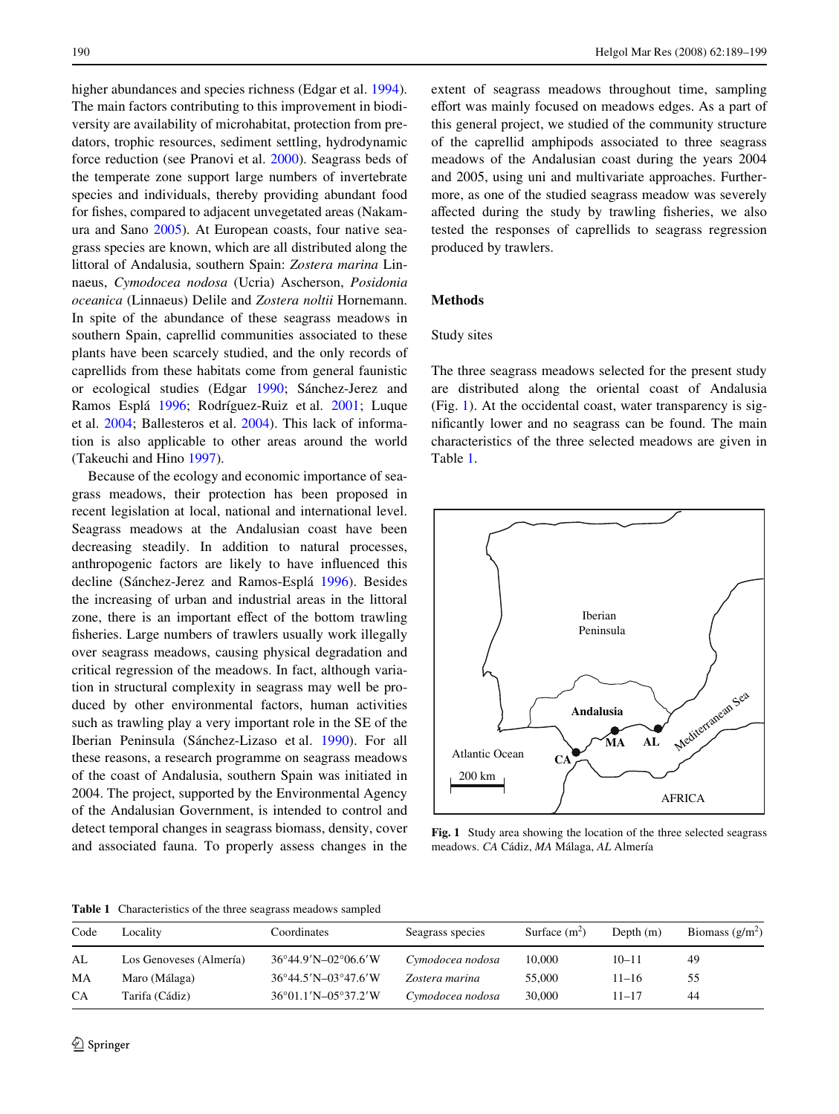higher abundances and species richness (Edgar et al. [1994](#page-9-12)). The main factors contributing to this improvement in biodiversity are availability of microhabitat, protection from predators, trophic resources, sediment settling, hydrodynamic force reduction (see Pranovi et al. [2000](#page-10-3)). Seagrass beds of the temperate zone support large numbers of invertebrate species and individuals, thereby providing abundant food for fishes, compared to adjacent unvegetated areas (Nakamura and Sano [2005](#page-9-13)). At European coasts, four native seagrass species are known, which are all distributed along the littoral of Andalusia, southern Spain: *Zostera marina* Linnaeus, *Cymodocea nodosa* (Ucria) Ascherson, *Posidonia oceanica* (Linnaeus) Delile and *Zostera noltii* Hornemann. In spite of the abundance of these seagrass meadows in southern Spain, caprellid communities associated to these plants have been scarcely studied, and the only records of caprellids from these habitats come from general faunistic or ecological studies (Edgar [1990;](#page-9-14) Sánchez-Jerez and Ramos Esplá [1996](#page-10-4); Rodríguez-Ruiz et al. [2001](#page-10-5); Luque et al. [2004](#page-9-15); Ballesteros et al. [2004](#page-9-16)). This lack of information is also applicable to other areas around the world (Takeuchi and Hino [1997](#page-10-6)).

Because of the ecology and economic importance of seagrass meadows, their protection has been proposed in recent legislation at local, national and international level. Seagrass meadows at the Andalusian coast have been decreasing steadily. In addition to natural processes, anthropogenic factors are likely to have influenced this decline (Sánchez-Jerez and Ramos-Esplá [1996](#page-10-4)). Besides the increasing of urban and industrial areas in the littoral zone, there is an important effect of the bottom trawling fisheries. Large numbers of trawlers usually work illegally over seagrass meadows, causing physical degradation and critical regression of the meadows. In fact, although variation in structural complexity in seagrass may well be produced by other environmental factors, human activities such as trawling play a very important role in the SE of the Iberian Peninsula (Sánchez-Lizaso et al. [1990\)](#page-10-7). For all these reasons, a research programme on seagrass meadows of the coast of Andalusia, southern Spain was initiated in 2004. The project, supported by the Environmental Agency of the Andalusian Government, is intended to control and detect temporal changes in seagrass biomass, density, cover and associated fauna. To properly assess changes in the extent of seagrass meadows throughout time, sampling effort was mainly focused on meadows edges. As a part of this general project, we studied of the community structure of the caprellid amphipods associated to three seagrass meadows of the Andalusian coast during the years 2004 and 2005, using uni and multivariate approaches. Furthermore, as one of the studied seagrass meadow was severely affected during the study by trawling fisheries, we also tested the responses of caprellids to seagrass regression produced by trawlers.

# **Methods**

## Study sites

The three seagrass meadows selected for the present study are distributed along the oriental coast of Andalusia (Fig. [1\)](#page-1-0). At the occidental coast, water transparency is significantly lower and no seagrass can be found. The main characteristics of the three selected meadows are given in Table [1](#page-1-1).



<span id="page-1-0"></span>**Fig. 1** Study area showing the location of the three selected seagrass meadows. *CA* Cádiz, *MA* Málaga, *AL* Almería

<span id="page-1-1"></span>**Table 1** Characteristics of the three seagrass meadows sampled

| Code | Locality                | Coordinates                   | Seagrass species | Surface $(m^2)$ | Depth $(m)$ | Biomass $(g/m^2)$ |
|------|-------------------------|-------------------------------|------------------|-----------------|-------------|-------------------|
| AL   | Los Genoveses (Almería) | $36^{\circ}44.9'$ N-02°06.6′W | Cymodocea nodosa | 10,000          | $10 - 11$   | 49                |
| MA   | Maro (Málaga)           | $36^{\circ}44.5'$ N-03°47.6′W | Zostera marina   | 55,000          | 11–16       | 55                |
| CA   | Tarifa (Cádiz)          | 36°01.1'N-05°37.2'W           | Cymodocea nodosa | 30,000          | 11–17       | 44                |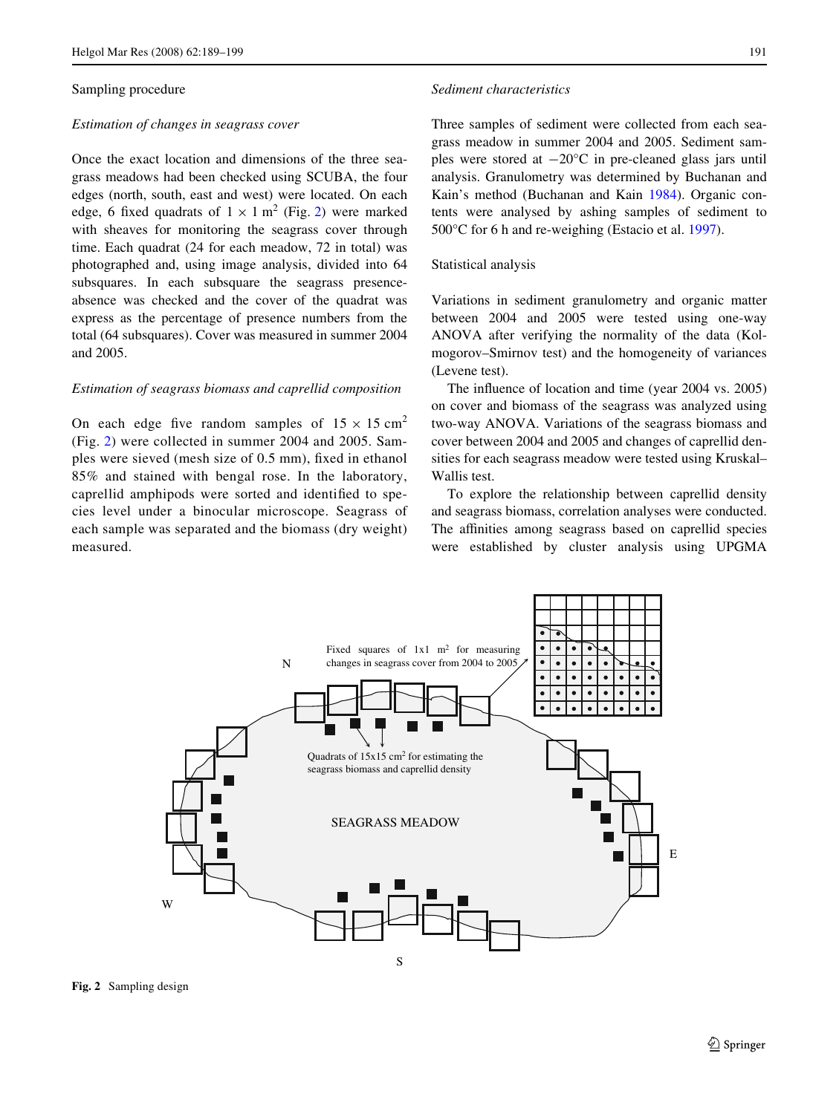## Sampling procedure

#### *Estimation of changes in seagrass cover*

Once the exact location and dimensions of the three seagrass meadows had been checked using SCUBA, the four edges (north, south, east and west) were located. On each edge, 6 fixed quadrats of  $1 \times 1$  m<sup>2</sup> (Fig. [2\)](#page-2-0) were marked with sheaves for monitoring the seagrass cover through time. Each quadrat (24 for each meadow, 72 in total) was photographed and, using image analysis, divided into 64 subsquares. In each subsquare the seagrass presenceabsence was checked and the cover of the quadrat was express as the percentage of presence numbers from the total (64 subsquares). Cover was measured in summer 2004 and 2005.

## *Estimation of seagrass biomass and caprellid composition*

On each edge five random samples of  $15 \times 15$  cm<sup>2</sup> (Fig. [2](#page-2-0)) were collected in summer 2004 and 2005. Samples were sieved (mesh size of 0.5 mm), fixed in ethanol 85% and stained with bengal rose. In the laboratory, caprellid amphipods were sorted and identified to species level under a binocular microscope. Seagrass of each sample was separated and the biomass (dry weight) measured.

## *Sediment characteristics*

Three samples of sediment were collected from each seagrass meadow in summer 2004 and 2005. Sediment samples were stored at  $-20^{\circ}$ C in pre-cleaned glass jars until analysis. Granulometry was determined by Buchanan and Kain's method (Buchanan and Kain [1984](#page-9-17)). Organic contents were analysed by ashing samples of sediment to 500°C for 6 h and re-weighing (Estacio et al. [1997](#page-9-18)).

# Statistical analysis

Variations in sediment granulometry and organic matter between 2004 and 2005 were tested using one-way ANOVA after verifying the normality of the data (Kolmogorov–Smirnov test) and the homogeneity of variances (Levene test).

The influence of location and time (year 2004 vs. 2005) on cover and biomass of the seagrass was analyzed using two-way ANOVA. Variations of the seagrass biomass and cover between 2004 and 2005 and changes of caprellid densities for each seagrass meadow were tested using Kruskal– Wallis test.

To explore the relationship between caprellid density and seagrass biomass, correlation analyses were conducted. The affinities among seagrass based on caprellid species were established by cluster analysis using UPGMA



<span id="page-2-0"></span>**Fig. 2** Sampling design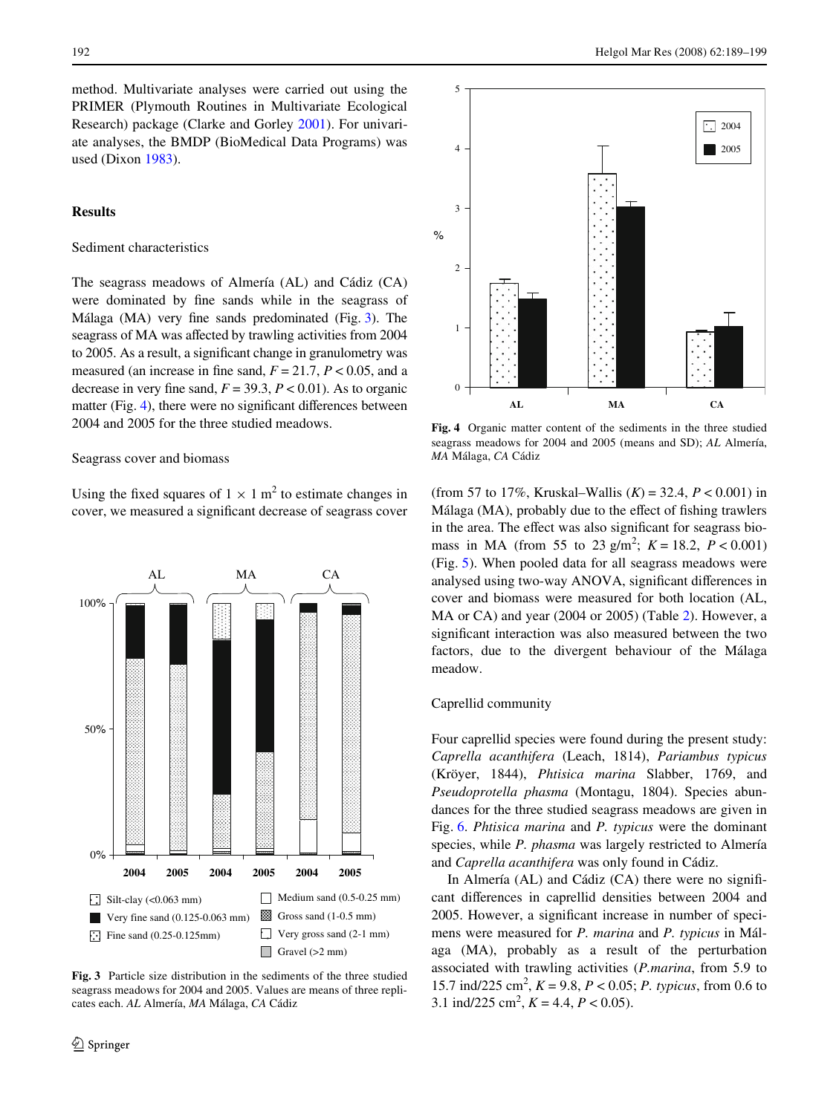method. Multivariate analyses were carried out using the PRIMER (Plymouth Routines in Multivariate Ecological Research) package (Clarke and Gorley [2001\)](#page-9-19). For univariate analyses, the BMDP (BioMedical Data Programs) was used (Dixon [1983\)](#page-9-20).

# **Results**

## Sediment characteristics

The seagrass meadows of Almería (AL) and Cádiz (CA) were dominated by fine sands while in the seagrass of Málaga (MA) very fine sands predominated (Fig.  $3$ ). The seagrass of MA was affected by trawling activities from 2004 to 2005. As a result, a significant change in granulometry was measured (an increase in fine sand,  $F = 21.7$ ,  $P < 0.05$ , and a decrease in very fine sand,  $F = 39.3$ ,  $P < 0.01$ ). As to organic matter (Fig. [4](#page-3-1)), there were no significant differences between 2004 and 2005 for the three studied meadows.

## Seagrass cover and biomass

Using the fixed squares of  $1 \times 1$  m<sup>2</sup> to estimate changes in cover, we measured a significant decrease of seagrass cover

AL MA CA

<span id="page-3-0"></span>**Fig. 3** Particle size distribution in the sediments of the three studied seagrass meadows for 2004 and 2005. Values are means of three replicates each. *AL* Almería, *MA* Málaga, *CA* Cádiz

**2004 2005 2004 2005 2004 2005**

 $\Box$  Medium sand (0.5-0.25 mm) Gross sand (1-0.5 mm) Very gross sand (2-1 mm) Gravel  $(>2$  mm)

 $0%$ 

 $Silt-clay (< 0.063 \text{ mm})$ 

Very fine sand (0.125-0.063 mm) Fine sand  $(0.25-0.125$ mm)

50%

100%



<span id="page-3-1"></span>**Fig. 4** Organic matter content of the sediments in the three studied seagrass meadows for 2004 and 2005 (means and SD); *AL* Almería, *MA* Málaga, *CA* Cádiz

(from 57 to 17%, Kruskal–Wallis  $(K) = 32.4$ ,  $P < 0.001$ ) in Málaga (MA), probably due to the effect of fishing trawlers in the area. The effect was also significant for seagrass biomass in MA (from 55 to 23 g/m<sup>2</sup>;  $K = 18.2$ ,  $P < 0.001$ ) (Fig. [5\)](#page-4-0). When pooled data for all seagrass meadows were analysed using two-way ANOVA, significant differences in cover and biomass were measured for both location (AL, MA or CA) and year (2004 or 2005) (Table [2](#page-5-0)). However, a significant interaction was also measured between the two factors, due to the divergent behaviour of the Málaga meadow.

# Caprellid community

Four caprellid species were found during the present study: *Caprella acanthifera* (Leach, 1814), *Pariambus typicus* (Kröyer, 1844), *Phtisica marina* Slabber, 1769, and *Pseudoprotella phasma* (Montagu, 1804). Species abundances for the three studied seagrass meadows are given in Fig. [6.](#page-5-1) *Phtisica marina* and *P. typicus* were the dominant species, while *P. phasma* was largely restricted to Almería and *Caprella acanthifera* was only found in Cádiz.

In Almería  $(AL)$  and Cádiz  $(CA)$  there were no significant differences in caprellid densities between 2004 and 2005. However, a significant increase in number of specimens were measured for *P. marina* and *P. typicus* in Málaga (MA), probably as a result of the perturbation associated with trawling activities (*P.marina*, from 5.9 to 15.7 ind/225 cm<sup>2</sup> , *K* = 9.8, *P* < 0.05; *P. typicus*, from 0.6 to 3.1 ind/225 cm<sup>2</sup>,  $K = 4.4$ ,  $P < 0.05$ ).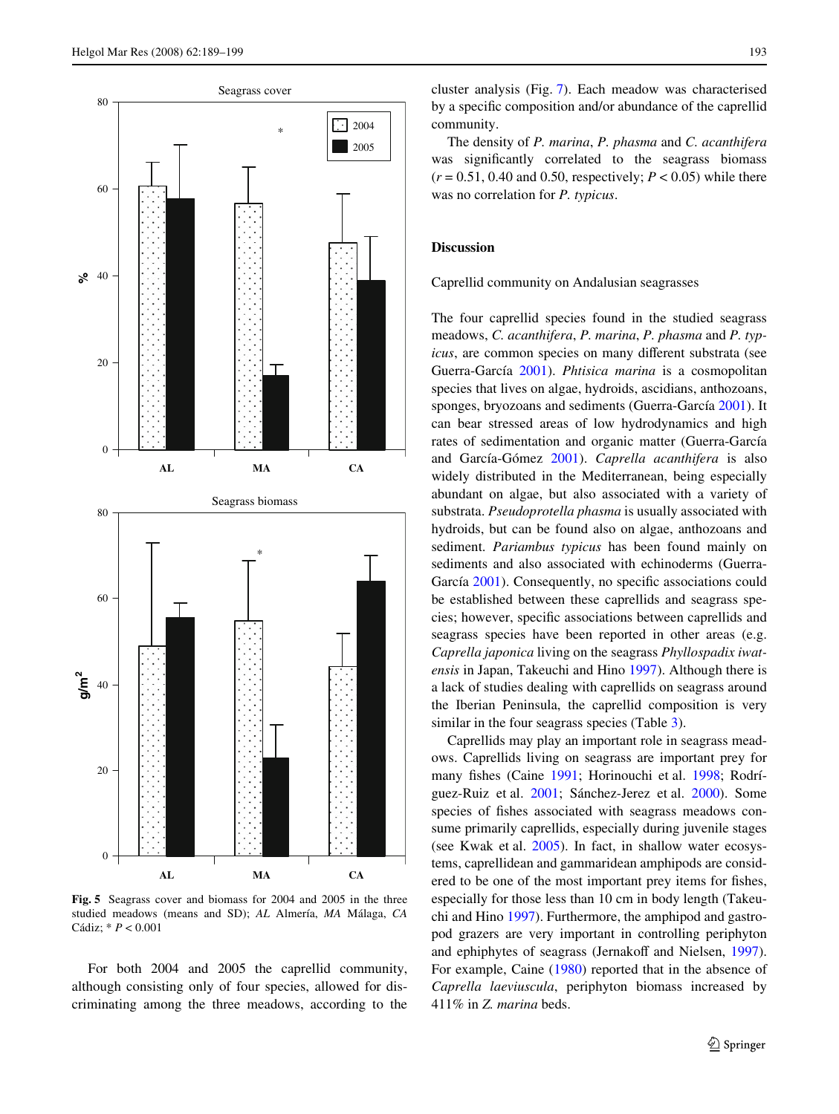

<span id="page-4-0"></span>**Fig. 5** Seagrass cover and biomass for 2004 and 2005 in the three studied meadows (means and SD); *AL* Almería, *MA* Málaga, *CA* Cádiz; \* *P* < 0.001

For both 2004 and 2005 the caprellid community, although consisting only of four species, allowed for discriminating among the three meadows, according to the

cluster analysis (Fig. [7\)](#page-6-0). Each meadow was characterised by a specific composition and/or abundance of the caprellid community.

The density of *P. marina*, *P. phasma* and *C. acanthifera* was significantly correlated to the seagrass biomass  $(r = 0.51, 0.40, \text{ and } 0.50, \text{ respectively}; P < 0.05)$  while there was no correlation for *P. typicus*.

# **Discussion**

Caprellid community on Andalusian seagrasses

The four caprellid species found in the studied seagrass meadows, *C. acanthifera*, *P. marina*, *P. phasma* and *P. typicus*, are common species on many different substrata (see Guerra-García [2001\)](#page-9-1). *Phtisica marina* is a cosmopolitan species that lives on algae, hydroids, ascidians, anthozoans, sponges, bryozoans and sediments (Guerra-García [2001\)](#page-9-1). It can bear stressed areas of low hydrodynamics and high rates of sedimentation and organic matter (Guerra-García and García-Gómez [2001](#page-9-8)). *Caprella acanthifera* is also widely distributed in the Mediterranean, being especially abundant on algae, but also associated with a variety of substrata. *Pseudoprotella phasma* is usually associated with hydroids, but can be found also on algae, anthozoans and sediment. *Pariambus typicus* has been found mainly on sediments and also associated with echinoderms (Guerra-García [2001\)](#page-9-1). Consequently, no specific associations could be established between these caprellids and seagrass species; however, specific associations between caprellids and seagrass species have been reported in other areas (e.g. *Caprella japonica* living on the seagrass *Phyllospadix iwatensis* in Japan, Takeuchi and Hino [1997](#page-10-6)). Although there is a lack of studies dealing with caprellids on seagrass around the Iberian Peninsula, the caprellid composition is very similar in the four seagrass species (Table [3](#page-6-1)).

Caprellids may play an important role in seagrass meadows. Caprellids living on seagrass are important prey for many fishes (Caine [1991;](#page-9-6) Horinouchi et al. [1998](#page-9-21); Rodríguez-Ruiz et al. [2001;](#page-10-5) Sánchez-Jerez et al. [2000\)](#page-10-8). Some species of fishes associated with seagrass meadows consume primarily caprellids, especially during juvenile stages (see Kwak et al. [2005\)](#page-9-22). In fact, in shallow water ecosystems, caprellidean and gammaridean amphipods are considered to be one of the most important prey items for fishes, especially for those less than 10 cm in body length (Takeuchi and Hino [1997\)](#page-10-6). Furthermore, the amphipod and gastropod grazers are very important in controlling periphyton and ephiphytes of seagrass (Jernakoff and Nielsen, [1997](#page-9-23)). For example, Caine ([1980\)](#page-9-24) reported that in the absence of *Caprella laeviuscula*, periphyton biomass increased by 411% in *Z. marina* beds.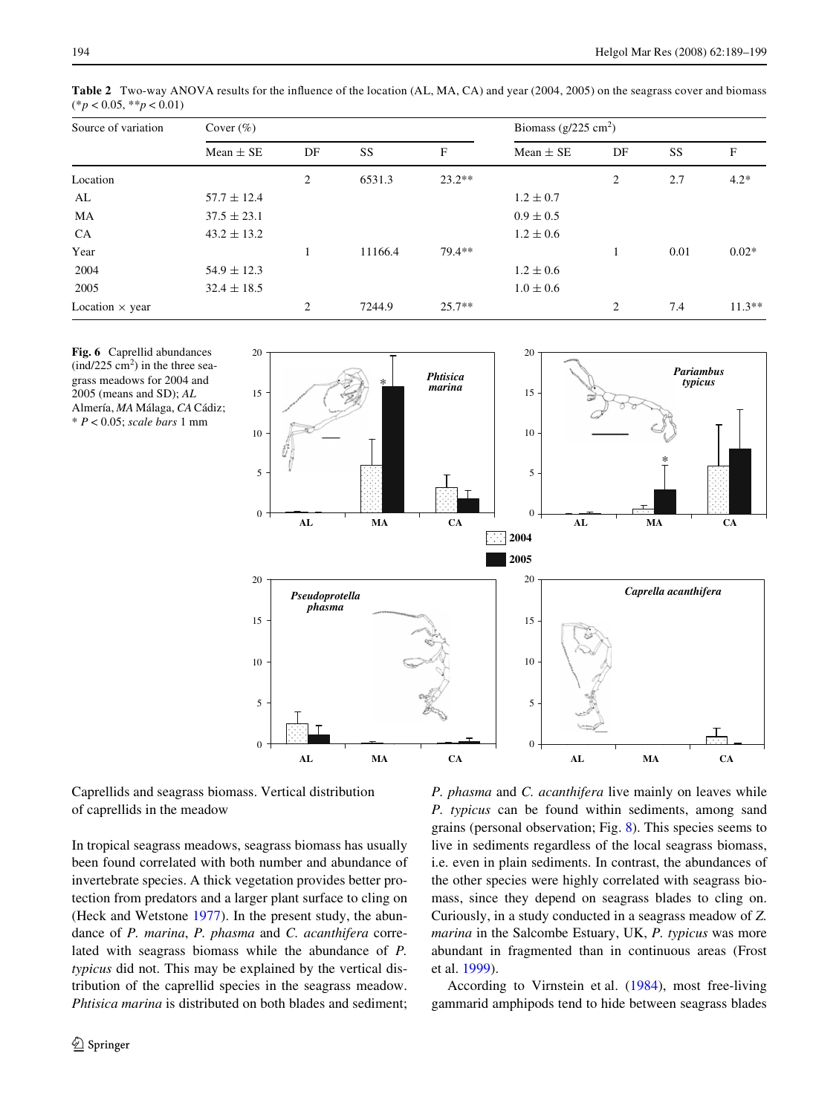| Source of variation    | Cover $(\%)$    |                |         |          | Biomass $(g/225 \text{ cm}^2)$ |                |      |          |
|------------------------|-----------------|----------------|---------|----------|--------------------------------|----------------|------|----------|
|                        | Mean $\pm$ SE   | DF             | SS      | F        | Mean $\pm$ SE                  | DF             | SS   | F        |
| Location               |                 | 2              | 6531.3  | $23.2**$ |                                | 2              | 2.7  | $4.2*$   |
| AL                     | $57.7 \pm 12.4$ |                |         |          | $1.2 \pm 0.7$                  |                |      |          |
| MA                     | $37.5 \pm 23.1$ |                |         |          | $0.9 \pm 0.5$                  |                |      |          |
| <b>CA</b>              | $43.2 \pm 13.2$ |                |         |          | $1.2 \pm 0.6$                  |                |      |          |
| Year                   |                 |                | 11166.4 | $79.4**$ |                                |                | 0.01 | $0.02*$  |
| 2004                   | $54.9 \pm 12.3$ |                |         |          | $1.2 \pm 0.6$                  |                |      |          |
| 2005                   | $32.4 \pm 18.5$ |                |         |          | $1.0 \pm 0.6$                  |                |      |          |
| Location $\times$ year |                 | $\overline{2}$ | 7244.9  | $25.7**$ |                                | $\overline{2}$ | 7.4  | $11.3**$ |

<span id="page-5-0"></span>**Table 2** Two-way ANOVA results for the influence of the location (AL, MA, CA) and year (2004, 2005) on the seagrass cover and biomass (\**p* < 0.05, \*\**p* < 0.01)

<span id="page-5-1"></span>**Fig. 6** Caprellid abundances  $\text{(ind/225 cm}^2)$  in the three seagrass meadows for 2004 and 2005 (means and SD); *AL* Almería, *MA* Málaga, *CA* Cádiz; \* *P* < 0.05; *scale bars* 1 mm



Caprellids and seagrass biomass. Vertical distribution of caprellids in the meadow

In tropical seagrass meadows, seagrass biomass has usually been found correlated with both number and abundance of invertebrate species. A thick vegetation provides better protection from predators and a larger plant surface to cling on (Heck and Wetstone [1977\)](#page-9-25). In the present study, the abundance of *P. marina*, *P. phasma* and *C. acanthifera* correlated with seagrass biomass while the abundance of *P. typicus* did not. This may be explained by the vertical distribution of the caprellid species in the seagrass meadow. *Phtisica marina* is distributed on both blades and sediment; *P. phasma* and *C. acanthifera* live mainly on leaves while *P. typicus* can be found within sediments, among sand grains (personal observation; Fig. [8\)](#page-8-0). This species seems to live in sediments regardless of the local seagrass biomass, i.e. even in plain sediments. In contrast, the abundances of the other species were highly correlated with seagrass biomass, since they depend on seagrass blades to cling on. Curiously, in a study conducted in a seagrass meadow of *Z. marina* in the Salcombe Estuary, UK, *P. typicus* was more abundant in fragmented than in continuous areas (Frost et al. [1999](#page-9-26)).

According to Virnstein et al. ([1984](#page-10-9)), most free-living gammarid amphipods tend to hide between seagrass blades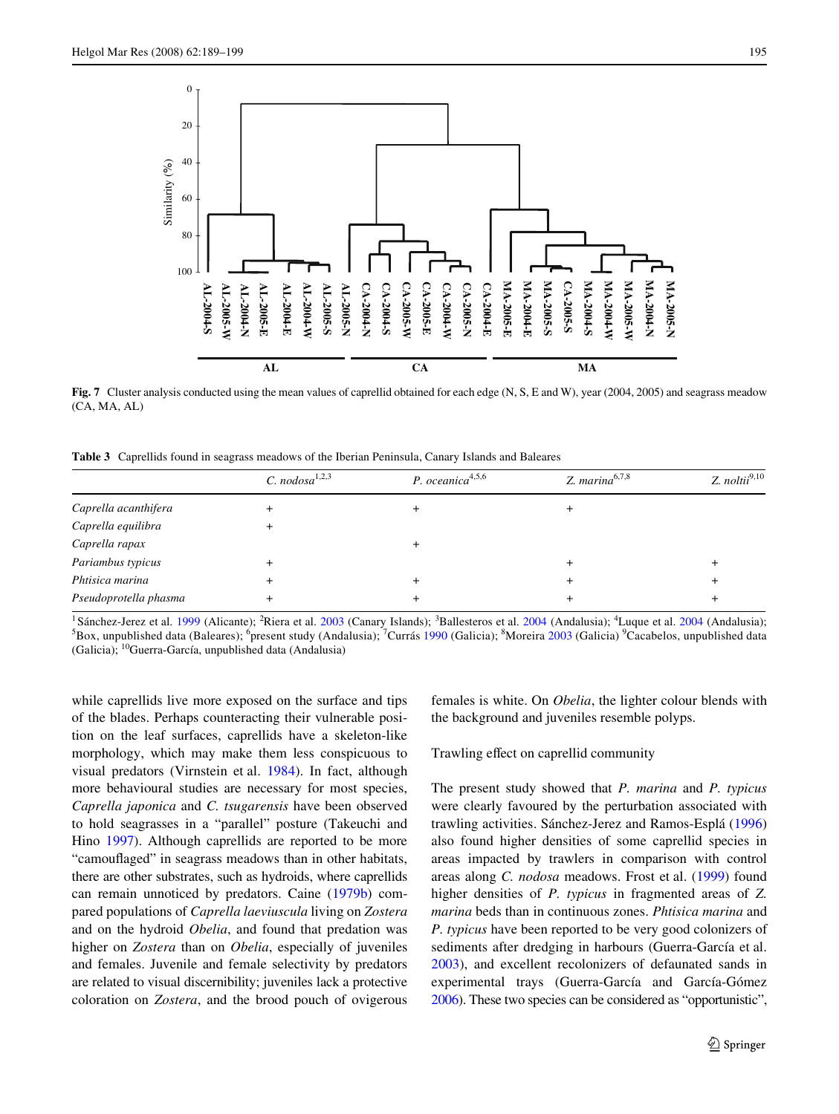

<span id="page-6-0"></span>Fig. 7 Cluster analysis conducted using the mean values of caprellid obtained for each edge (N, S, E and W), year (2004, 2005) and seagrass meadow  $(CA, MA, AI)$ 

**AL CA MA**

<span id="page-6-1"></span>**Table 3** Caprellids found in seagrass meadows of the Iberian Peninsula, Canary Islands and Baleares

|                       | C. nodosa <sup>1,2,3</sup> | P. oceanica <sup>4,5,6</sup> | Z. marina $6,7,8$ | Z. $noltii^{9,10}$ |
|-----------------------|----------------------------|------------------------------|-------------------|--------------------|
| Caprella acanthifera  |                            |                              |                   |                    |
| Caprella equilibra    |                            |                              |                   |                    |
| Caprella rapax        |                            |                              |                   |                    |
| Pariambus typicus     |                            |                              |                   |                    |
| Phtisica marina       |                            |                              |                   |                    |
| Pseudoprotella phasma |                            |                              |                   |                    |

<sup>1</sup> Sánchez-Jerez et al. [1999](#page-10-10) (Alicante); <sup>2</sup>Riera et al. [2003](#page-10-11) (Canary Islands); <sup>3</sup>Ballesteros et al. [2004](#page-9-15) (Andalusia); <sup>4</sup>Luque et al. 2004 (Andalusia); <sup>5</sup>Box, unpublished data (Baleares); <sup>6</sup>present study (Andalusia); <sup>7</sup>Currás [1990](#page-9-27) (Galicia); <sup>8</sup>Moreira [2003](#page-9-28) (Galicia) <sup>9</sup>Cacabelos, unpublished data (Galicia); 10Guerra-García, unpublished data (Andalusia)

while caprellids live more exposed on the surface and tips of the blades. Perhaps counteracting their vulnerable position on the leaf surfaces, caprellids have a skeleton-like morphology, which may make them less conspicuous to visual predators (Virnstein et al. [1984\)](#page-10-9). In fact, although more behavioural studies are necessary for most species, *Caprella japonica* and *C. tsugarensis* have been observed to hold seagrasses in a "parallel" posture (Takeuchi and Hino [1997](#page-10-6)). Although caprellids are reported to be more "camouflaged" in seagrass meadows than in other habitats, there are other substrates, such as hydroids, where caprellids can remain unnoticed by predators. Caine ([1979b\)](#page-9-29) compared populations of *Caprella laeviuscula* living on *Zostera* and on the hydroid *Obelia*, and found that predation was higher on *Zostera* than on *Obelia*, especially of juveniles and females. Juvenile and female selectivity by predators are related to visual discernibility; juveniles lack a protective coloration on *Zostera*, and the brood pouch of ovigerous females is white. On *Obelia*, the lighter colour blends with the background and juveniles resemble polyps.

Trawling effect on caprellid community

The present study showed that *P. marina* and *P. typicus* were clearly favoured by the perturbation associated with trawling activities. Sánchez-Jerez and Ramos-Esplá ([1996\)](#page-10-4) also found higher densities of some caprellid species in areas impacted by trawlers in comparison with control areas along *C. nodosa* meadows. Frost et al. [\(1999](#page-9-26)) found higher densities of *P. typicus* in fragmented areas of *Z. marina* beds than in continuous zones. *Phtisica marina* and *P. typicus* have been reported to be very good colonizers of sediments after dredging in harbours (Guerra-García et al. [2003](#page-9-30)), and excellent recolonizers of defaunated sands in experimental trays (Guerra-García and García-Gómez [2006](#page-9-31)). These two species can be considered as "opportunistic",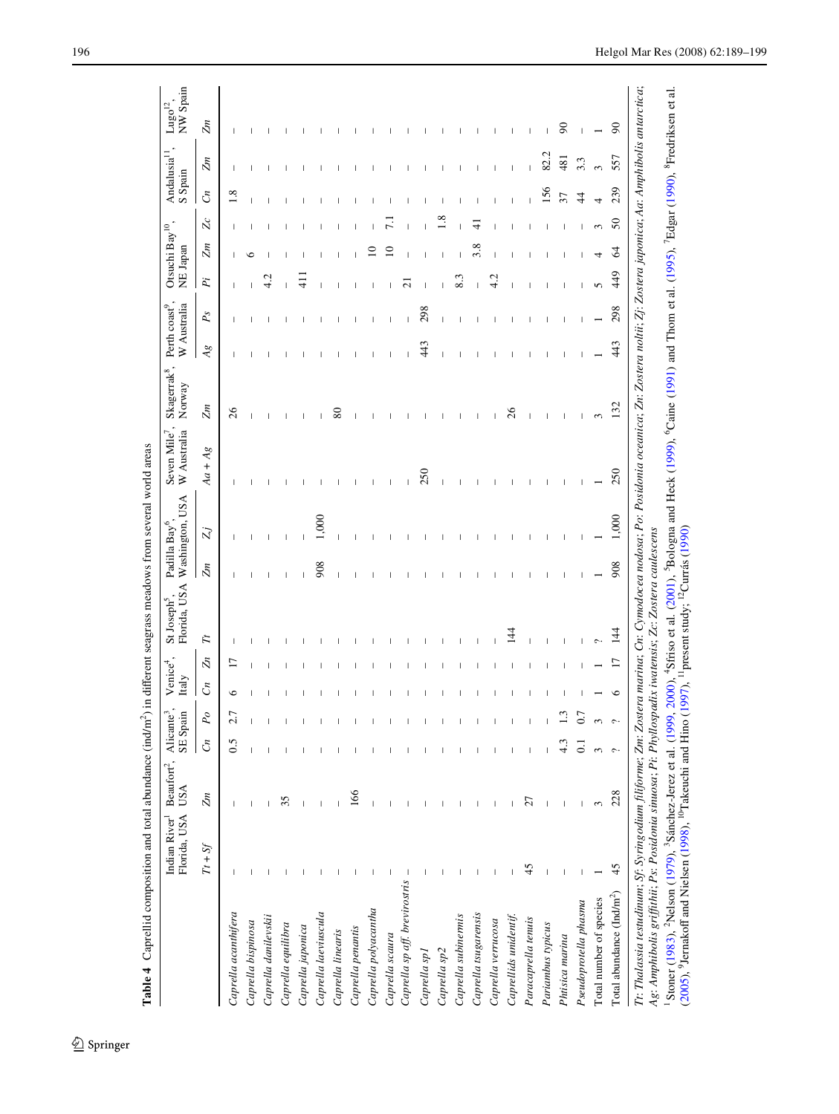|                                       | Florida, USA<br>Indian River <sup>1</sup> | Beaufort <sup>2</sup> ,<br>USA | SE Spain      |              | Italy         |            | Florida, USA  |     | Washington, USA | W Australia<br>Seven Mile | Skagerrak <sup>8</sup><br>Norway | W Australia |             | NE Japan   | Otsuchi Bay <sup>10</sup> . |        | S Spain          |      | NW Spain<br>${\rm Lugo^{12}}$ . |
|---------------------------------------|-------------------------------------------|--------------------------------|---------------|--------------|---------------|------------|---------------|-----|-----------------|---------------------------|----------------------------------|-------------|-------------|------------|-----------------------------|--------|------------------|------|---------------------------------|
|                                       | $Tt + Sf$                                 | Zm                             | $\mathcal{C}$ | $P_{\cal O}$ | $\mathcal{C}$ | $\bar{Z}n$ | F             | Zm  | Zj              | $Aa + Ag$                 | Zm                               | Ag          | $P_{\rm S}$ | $\ddot{P}$ | Zm                          | $\chi$ | $\mathcal{C}$    | Zm   | Zm                              |
| Caprella acanthifera                  |                                           |                                | 0.5           | ۲j           | ∘             |            |               |     |                 |                           | 26                               |             |             |            |                             |        | $\overline{1.8}$ |      |                                 |
| Caprella bispinosa                    |                                           |                                |               |              |               |            |               |     |                 |                           |                                  |             |             |            | ╰                           |        |                  |      |                                 |
| Caprella danilevskii                  |                                           |                                |               |              |               |            |               |     |                 |                           |                                  |             |             | L,         |                             |        |                  |      |                                 |
| Caprella equilibra                    |                                           | 35                             |               |              |               |            |               |     |                 |                           |                                  |             |             |            |                             |        |                  |      |                                 |
| Caprella japonica                     |                                           |                                |               |              |               |            |               |     |                 |                           |                                  |             |             |            |                             |        |                  |      |                                 |
| Caprella laeviuscula                  |                                           |                                |               |              |               |            |               | 908 | 1,000           |                           |                                  |             |             |            |                             |        |                  |      |                                 |
| Caprella linearis                     |                                           |                                |               |              |               |            |               |     |                 |                           | $^{\circ}$                       |             |             |            |                             |        |                  |      |                                 |
| Caprella penantis                     |                                           | 166                            |               |              |               |            |               |     |                 |                           |                                  |             |             |            |                             |        |                  |      |                                 |
| Caprella polyacantha                  |                                           |                                |               |              |               |            |               |     |                 |                           |                                  |             |             |            |                             |        |                  |      |                                 |
| Caprella scaura                       |                                           |                                |               |              |               |            |               |     |                 |                           |                                  |             |             |            |                             |        |                  |      |                                 |
| Caprella sp aff. brevirostris         | $\overline{\phantom{a}}$                  |                                |               |              |               |            |               |     |                 |                           |                                  |             |             | $\sim$     |                             |        |                  |      |                                 |
| Caprella sp1                          |                                           |                                |               |              |               |            |               |     |                 | 250                       |                                  | 443         | 298         |            |                             |        |                  |      |                                 |
| Caprella sp2                          |                                           |                                |               |              |               |            |               |     |                 |                           |                                  |             |             |            |                             |        |                  |      |                                 |
| Caprella subinermis                   |                                           |                                |               |              |               |            |               |     |                 |                           |                                  |             |             | 8.3        |                             |        |                  |      |                                 |
| Caprella tsugarensis                  |                                           |                                |               |              |               |            |               |     |                 |                           |                                  |             |             |            | $^{\circ}$                  |        |                  |      |                                 |
| Caprella verrucosa                    |                                           |                                |               |              |               |            |               |     |                 |                           |                                  |             |             | L,         |                             |        |                  |      |                                 |
| Caprellids unidentif.                 |                                           |                                |               |              |               |            | $\frac{4}{3}$ |     |                 |                           | 26                               |             |             |            |                             |        |                  |      |                                 |
| Paracaprella tenuis                   | 45                                        | 57                             |               |              |               |            |               |     |                 |                           |                                  |             |             |            |                             |        |                  |      |                                 |
| Pariambus typicus                     |                                           |                                |               |              |               |            |               |     |                 |                           |                                  |             |             |            |                             |        | 156              | 82.2 |                                 |
| Phtisica marina                       |                                           |                                |               |              |               |            |               |     |                 |                           |                                  |             |             |            |                             |        |                  | 481  | 90                              |
| Pseudoprotella phasma                 |                                           | $\mathbf{I}$                   |               |              |               |            |               |     |                 |                           |                                  |             |             |            |                             |        | $\frac{4}{4}$    | 3.3  |                                 |
| Total number of species               |                                           | $\epsilon$                     |               |              |               |            |               |     |                 |                           | 3                                |             |             | 5          |                             |        | 3                |      |                                 |
| Total abundance (Ind/m <sup>2</sup> ) | 45                                        | 228                            |               |              |               |            | 144           | 908 | 1,000           | 250                       | 132                              | 443         | 298         | 449        | $\Im$                       | $50\,$ | 239              | 557  | $\boldsymbol{\mathcal{S}}$      |

**Table 4** Caprellid composition and total abundance  $(indm^2)$  in different seagrass meadows from several world areas **Table 4** Caprellid composition and total abundance (ind/m<sup>2</sup>) in different seagrass meadows from several world areas

<span id="page-7-0"></span> $\underline{\textcircled{\tiny 2}}$  Springer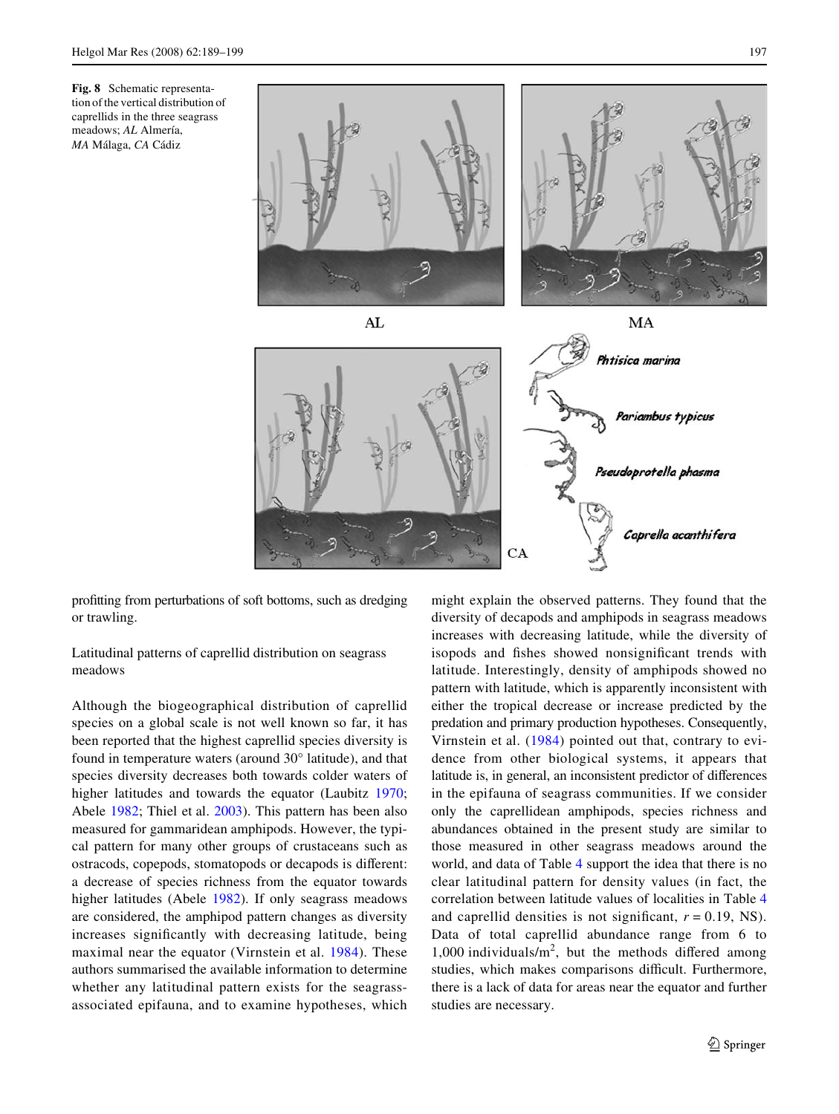<span id="page-8-0"></span>



profitting from perturbations of soft bottoms, such as dredging or trawling.

Latitudinal patterns of caprellid distribution on seagrass meadows

Although the biogeographical distribution of caprellid species on a global scale is not well known so far, it has been reported that the highest caprellid species diversity is found in temperature waters (around 30° latitude), and that species diversity decreases both towards colder waters of higher latitudes and towards the equator (Laubitz [1970](#page-9-36); Abele [1982;](#page-9-37) Thiel et al. [2003](#page-10-0)). This pattern has been also measured for gammaridean amphipods. However, the typical pattern for many other groups of crustaceans such as ostracods, copepods, stomatopods or decapods is different: a decrease of species richness from the equator towards higher latitudes (Abele [1982\)](#page-9-37). If only seagrass meadows are considered, the amphipod pattern changes as diversity increases significantly with decreasing latitude, being maximal near the equator (Virnstein et al. [1984\)](#page-10-9). These authors summarised the available information to determine whether any latitudinal pattern exists for the seagrassassociated epifauna, and to examine hypotheses, which might explain the observed patterns. They found that the diversity of decapods and amphipods in seagrass meadows increases with decreasing latitude, while the diversity of isopods and fishes showed nonsignificant trends with latitude. Interestingly, density of amphipods showed no pattern with latitude, which is apparently inconsistent with either the tropical decrease or increase predicted by the predation and primary production hypotheses. Consequently, Virnstein et al. [\(1984](#page-10-9)) pointed out that, contrary to evidence from other biological systems, it appears that latitude is, in general, an inconsistent predictor of differences in the epifauna of seagrass communities. If we consider only the caprellidean amphipods, species richness and abundances obtained in the present study are similar to those measured in other seagrass meadows around the world, and data of Table [4](#page-7-0) support the idea that there is no clear latitudinal pattern for density values (in fact, the correlation between latitude values of localities in Table [4](#page-7-0) and caprellid densities is not significant,  $r = 0.19$ , NS). Data of total caprellid abundance range from 6 to  $1,000$  individuals/ $m^2$ , but the methods differed among studies, which makes comparisons difficult. Furthermore, there is a lack of data for areas near the equator and further studies are necessary.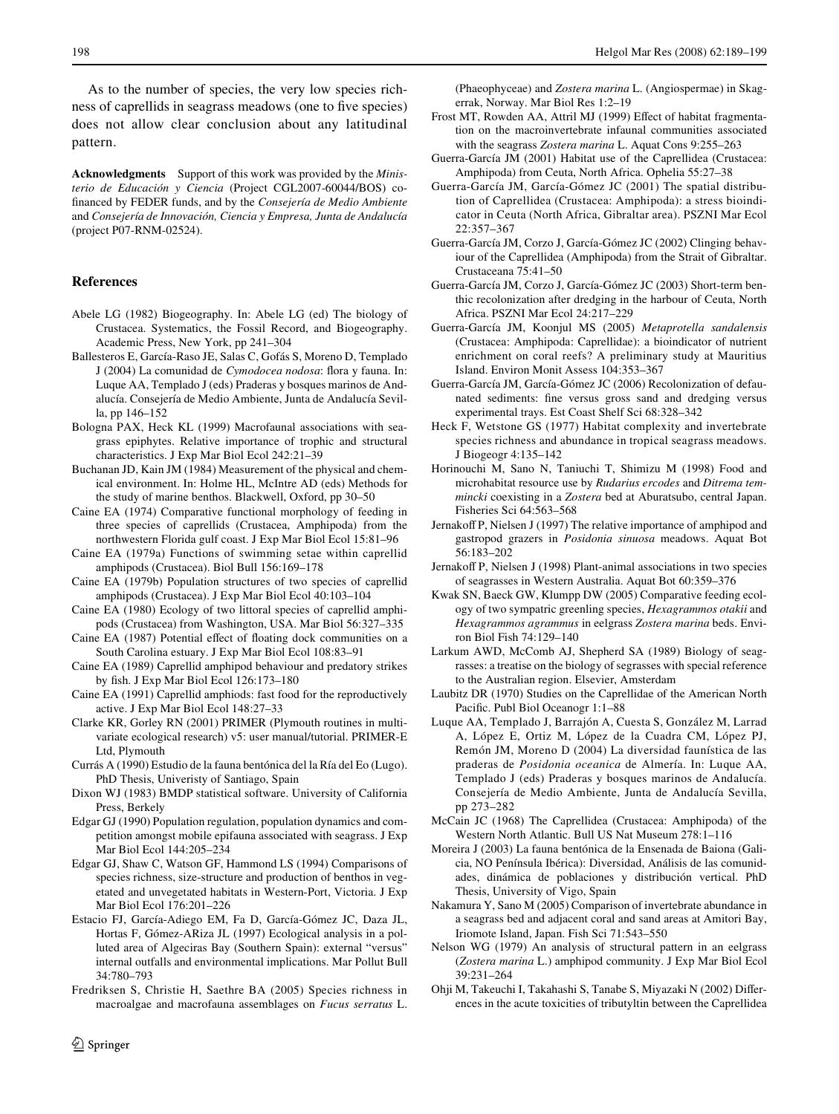As to the number of species, the very low species richness of caprellids in seagrass meadows (one to five species) does not allow clear conclusion about any latitudinal pattern.

**Acknowledgments** Support of this work was provided by the *Ministerio de Educación y Ciencia* (Project CGL2007-60044/BOS) cofinanced by FEDER funds, and by the *Consejería de Medio Ambiente* and *Consejería de Innovación, Ciencia y Empresa, Junta de Andalucía* (project P07-RNM-02524).

# **References**

- <span id="page-9-37"></span>Abele LG (1982) Biogeography. In: Abele LG (ed) The biology of Crustacea. Systematics, the Fossil Record, and Biogeography. Academic Press, New York, pp 241–304
- <span id="page-9-16"></span>Ballesteros E, García-Raso JE, Salas C, Gofás S, Moreno D, Templado J (2004) La comunidad de *Cymodocea nodosa*: flora y fauna. In: Luque AA, Templado J (eds) Praderas y bosques marinos de Andalucía. Consejería de Medio Ambiente, Junta de Andalucía Sevilla, pp 146–152
- <span id="page-9-33"></span>Bologna PAX, Heck KL (1999) Macrofaunal associations with seagrass epiphytes. Relative importance of trophic and structural characteristics. J Exp Mar Biol Ecol 242:21–39
- <span id="page-9-17"></span>Buchanan JD, Kain JM (1984) Measurement of the physical and chemical environment. In: Holme HL, McIntre AD (eds) Methods for the study of marine benthos. Blackwell, Oxford, pp 30–50
- <span id="page-9-2"></span>Caine EA (1974) Comparative functional morphology of feeding in three species of caprellids (Crustacea, Amphipoda) from the northwestern Florida gulf coast. J Exp Mar Biol Ecol 15:81–96
- <span id="page-9-7"></span>Caine EA (1979a) Functions of swimming setae within caprellid amphipods (Crustacea). Biol Bull 156:169–178
- <span id="page-9-29"></span>Caine EA (1979b) Population structures of two species of caprellid amphipods (Crustacea). J Exp Mar Biol Ecol 40:103–104
- <span id="page-9-24"></span>Caine EA (1980) Ecology of two littoral species of caprellid amphipods (Crustacea) from Washington, USA. Mar Biol 56:327–335
- <span id="page-9-4"></span>Caine EA (1987) Potential effect of floating dock communities on a South Carolina estuary. J Exp Mar Biol Ecol 108:83–91
- <span id="page-9-5"></span>Caine EA (1989) Caprellid amphipod behaviour and predatory strikes by fish. J Exp Mar Biol Ecol 126:173-180
- <span id="page-9-6"></span>Caine EA (1991) Caprellid amphiods: fast food for the reproductively active. J Exp Mar Biol Ecol 148:27–33
- <span id="page-9-19"></span>Clarke KR, Gorley RN (2001) PRIMER (Plymouth routines in multivariate ecological research) v5: user manual/tutorial. PRIMER-E Ltd, Plymouth
- <span id="page-9-27"></span>Currás A (1990) Estudio de la fauna bentónica del la Ría del Eo (Lugo). PhD Thesis, Univeristy of Santiago, Spain
- <span id="page-9-20"></span>Dixon WJ (1983) BMDP statistical software. University of California Press, Berkely
- <span id="page-9-14"></span>Edgar GJ (1990) Population regulation, population dynamics and competition amongst mobile epifauna associated with seagrass. J Exp Mar Biol Ecol 144:205–234
- <span id="page-9-12"></span>Edgar GJ, Shaw C, Watson GF, Hammond LS (1994) Comparisons of species richness, size-structure and production of benthos in vegetated and unvegetated habitats in Western-Port, Victoria. J Exp Mar Biol Ecol 176:201–226
- <span id="page-9-18"></span>Estacio FJ, García-Adiego EM, Fa D, García-Gómez JC, Daza JL, Hortas F, Gómez-ARiza JL (1997) Ecological analysis in a polluted area of Algeciras Bay (Southern Spain): external "versus" internal outfalls and environmental implications. Mar Pollut Bull 34:780–793
- <span id="page-9-34"></span>Fredriksen S, Christie H, Saethre BA (2005) Species richness in macroalgae and macrofauna assemblages on *Fucus serratus* L.

(Phaeophyceae) and *Zostera marina* L. (Angiospermae) in Skagerrak, Norway. Mar Biol Res 1:2–19

- <span id="page-9-26"></span>Frost MT, Rowden AA, Attril MJ (1999) Effect of habitat fragmentation on the macroinvertebrate infaunal communities associated with the seagrass *Zostera marina* L. Aquat Cons 9:255–263
- <span id="page-9-1"></span>Guerra-García JM (2001) Habitat use of the Caprellidea (Crustacea: Amphipoda) from Ceuta, North Africa. Ophelia 55:27–38
- <span id="page-9-8"></span>Guerra-García JM, García-Gómez JC (2001) The spatial distribution of Caprellidea (Crustacea: Amphipoda): a stress bioindicator in Ceuta (North Africa, Gibraltar area). PSZNI Mar Ecol 22:357–367
- <span id="page-9-3"></span>Guerra-García JM, Corzo J, García-Gómez JC (2002) Clinging behaviour of the Caprellidea (Amphipoda) from the Strait of Gibraltar. Crustaceana 75:41–50
- <span id="page-9-30"></span>Guerra-García JM, Corzo J, García-Gómez JC (2003) Short-term benthic recolonization after dredging in the harbour of Ceuta, North Africa. PSZNI Mar Ecol 24:217–229
- <span id="page-9-10"></span>Guerra-García JM, Koonjul MS (2005) *Metaprotella sandalensis* (Crustacea: Amphipoda: Caprellidae): a bioindicator of nutrient enrichment on coral reefs? A preliminary study at Mauritius Island. Environ Monit Assess 104:353–367
- <span id="page-9-31"></span>Guerra-García JM, García-Gómez JC (2006) Recolonization of defaunated sediments: fine versus gross sand and dredging versus experimental trays. Est Coast Shelf Sci 68:328–342
- <span id="page-9-25"></span>Heck F, Wetstone GS (1977) Habitat complexity and invertebrate species richness and abundance in tropical seagrass meadows. J Biogeogr 4:135–142
- <span id="page-9-21"></span>Horinouchi M, Sano N, Taniuchi T, Shimizu M (1998) Food and microhabitat resource use by *Rudarius ercodes* and *Ditrema temmincki* coexisting in a *Zostera* bed at Aburatsubo, central Japan. Fisheries Sci 64:563–568
- <span id="page-9-23"></span>Jernakoff P, Nielsen J (1997) The relative importance of amphipod and gastropod grazers in *Posidonia sinuosa* meadows. Aquat Bot 56:183–202
- <span id="page-9-35"></span>Jernakoff P, Nielsen J (1998) Plant-animal associations in two species of seagrasses in Western Australia. Aquat Bot 60:359–376
- <span id="page-9-22"></span>Kwak SN, Baeck GW, Klumpp DW (2005) Comparative feeding ecology of two sympatric greenling species, *Hexagrammos otakii* and *Hexagrammos agrammus* in eelgrass *Zostera marina* beds. Environ Biol Fish 74:129–140
- <span id="page-9-11"></span>Larkum AWD, McComb AJ, Shepherd SA (1989) Biology of seagrasses: a treatise on the biology of segrasses with special reference to the Australian region. Elsevier, Amsterdam
- <span id="page-9-36"></span>Laubitz DR (1970) Studies on the Caprellidae of the American North Pacific. Publ Biol Oceanogr 1:1-88
- <span id="page-9-15"></span>Luque AA, Templado J, Barrajón A, Cuesta S, González M, Larrad A, López E, Ortiz M, López de la Cuadra CM, López PJ, Remón JM, Moreno D (2004) La diversidad faunística de las praderas de *Posidonia oceanica* de Almería. In: Luque AA, Templado J (eds) Praderas y bosques marinos de Andalucía. Consejería de Medio Ambiente, Junta de Andalucía Sevilla, pp 273–282
- <span id="page-9-0"></span>McCain JC (1968) The Caprellidea (Crustacea: Amphipoda) of the Western North Atlantic. Bull US Nat Museum 278:1–116
- <span id="page-9-28"></span>Moreira J (2003) La fauna bentónica de la Ensenada de Baiona (Galicia, NO Península Ibérica): Diversidad, Análisis de las comunidades, dinámica de poblaciones y distribución vertical. PhD Thesis, University of Vigo, Spain
- <span id="page-9-13"></span>Nakamura Y, Sano M (2005) Comparison of invertebrate abundance in a seagrass bed and adjacent coral and sand areas at Amitori Bay, Iriomote Island, Japan. Fish Sci 71:543–550
- <span id="page-9-32"></span>Nelson WG (1979) An analysis of structural pattern in an eelgrass (*Zostera marina* L.) amphipod community. J Exp Mar Biol Ecol 39:231–264
- <span id="page-9-9"></span>Ohji M, Takeuchi I, Takahashi S, Tanabe S, Miyazaki N (2002) Differences in the acute toxicities of tributyltin between the Caprellidea